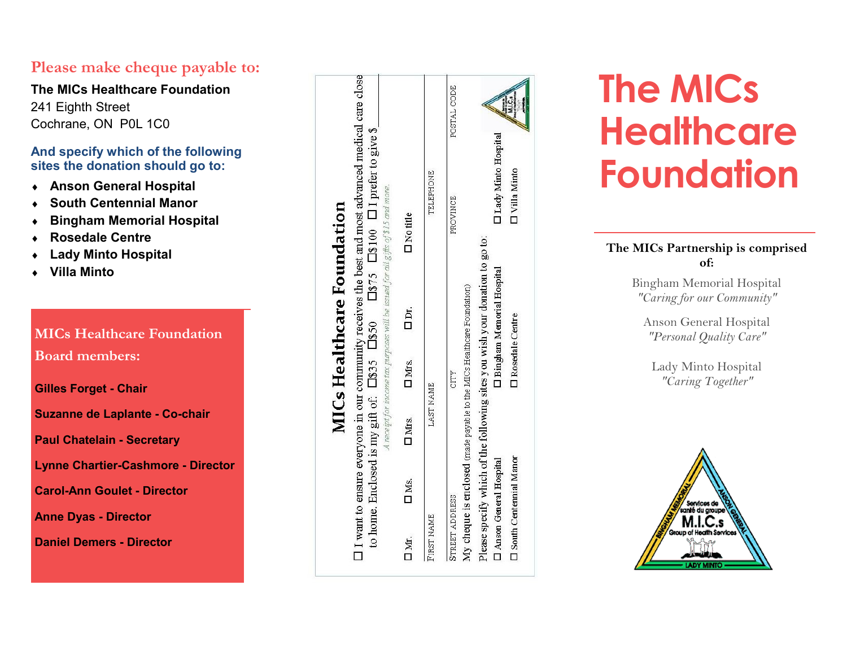# **Please make cheque payable to:**

**The MICs Healthcare Foundation** 241 Eighth Street Cochrane, ON P0L 1C0

# **And specify which of the following sites the donation should go to:**

- **Anson General Hospital**
- **South Centennial Manor**
- **Bingham Memorial Hospital**
- **Rosedale Centre**
- **Lady Minto Hospital**
- **Villa Minto**

# **MICs Healthcare Foundation Board members:**

**Gilles Forget - Chair**

**Suzanne de Laplante - Co -chair**

**Paul Chatelain - Secretary**

**Lynne Chartier -Cashmore - Director**

**Carol -Ann Goulet - Director**

**Anne Dyas - Director**

**Daniel Demers - Director**

|                |                                 |                                                                              |                          |                             | <b>MICs Healthcare Foundation</b>                                                |                                                                                                                                                                                                               |             |
|----------------|---------------------------------|------------------------------------------------------------------------------|--------------------------|-----------------------------|----------------------------------------------------------------------------------|---------------------------------------------------------------------------------------------------------------------------------------------------------------------------------------------------------------|-------------|
|                |                                 |                                                                              |                          |                             | A receipt for income tax purposes will be issued for all gifts of \$15 and more. | LI want to ensure everyone in our community receives the best and most advanced medical care close<br>to home. Enclosed is my gift of: $\Box$ 855 $\Box$ 850 $\Box$ 875 $\Box$ 8100 $\Box$ 1 prefer to give 8 |             |
| ΠМ.            | $\square$ Ms.                   | D <sub>Mrs</sub>                                                             | D <sub>Mrs.</sub>        | Dr.                         | <b>Notitle</b>                                                                   |                                                                                                                                                                                                               |             |
| FIRST NAME     |                                 | LAST NAME                                                                    |                          |                             |                                                                                  | TELEPHONE                                                                                                                                                                                                     |             |
| STREET ADDRESS |                                 |                                                                              | CITY                     |                             |                                                                                  | PROVINCE                                                                                                                                                                                                      | POSTAL CODE |
|                |                                 | My cheque is enclosed (made payable to the MICs Healthcare Foundation)       |                          |                             |                                                                                  |                                                                                                                                                                                                               |             |
|                |                                 | Please specify which of the following sites you wish your donation to go to: |                          |                             |                                                                                  |                                                                                                                                                                                                               |             |
|                | D Anson General Hospital        |                                                                              |                          | D Bingham Memorial Hospital |                                                                                  | I Lady Minto Hospital                                                                                                                                                                                         |             |
|                | <b>I</b> South Centennial Manor |                                                                              | <b>D</b> Rosedale Centre |                             |                                                                                  | <b>T</b> Villa Minto                                                                                                                                                                                          |             |

# **The MICs Healthcare Foundation**

# **The MICs Partnership is comprised of:**

Bingham Memorial Hospital *"Caring for our Community"*

Anson General Hospital *"Personal Quality Care"*

Lady Minto Hospital *"Caring Together"*